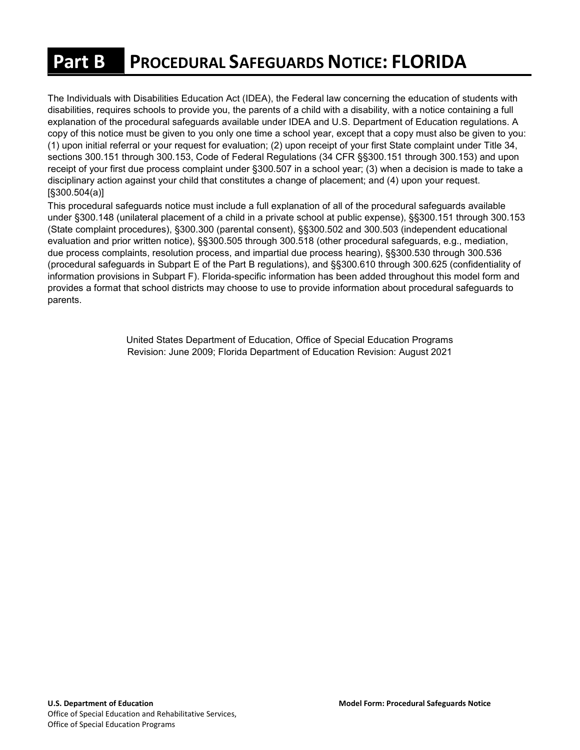# **Part B PROCEDURAL SAFEGUARDS NOTICE: FLORIDA**

 copy of this notice must be given to you only one time a school year, except that a copy must also be given to you: sections 300.151 through 300.153, Code of Federal Regulations (34 CFR §§300.151 through 300.153) and upon receipt of your first due process complaint under §300.507 in a school year; (3) when a decision is made to take a The Individuals with Disabilities Education Act (IDEA), the Federal law concerning the education of students with disabilities, requires schools to provide you, the parents of a child with a disability, with a notice containing a full explanation of the procedural safeguards available under IDEA and U.S. Department of Education regulations. A (1) upon initial referral or your request for evaluation; (2) upon receipt of your first State complaint under Title 34, disciplinary action against your child that constitutes a change of placement; and (4) upon your request. [§300.504(a)]

 This procedural safeguards notice must include a full explanation of all of the procedural safeguards available under §300.148 (unilateral placement of a child in a private school at public expense), §§300.151 through 300.153 (procedural safeguards in Subpart E of the Part B regulations), and §§300.610 through 300.625 (confidentiality of (State complaint procedures), §300.300 (parental consent), §§300.502 and 300.503 (independent educational evaluation and prior written notice), §§300.505 through 300.518 (other procedural safeguards, e.g., mediation, due process complaints, resolution process, and impartial due process hearing), §§300.530 through 300.536 information provisions in Subpart F). Florida-specific information has been added throughout this model form and provides a format that school districts may choose to use to provide information about procedural safeguards to parents.

> Revision: June 2009; Florida Department of Education Revision: August 2021 United States Department of Education, Office of Special Education Programs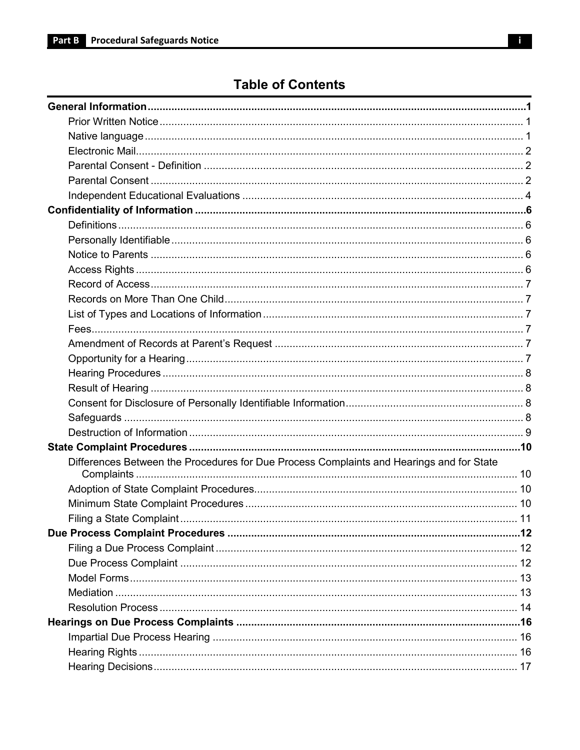## **Table of Contents**

| Differences Between the Procedures for Due Process Complaints and Hearings and for State |  |
|------------------------------------------------------------------------------------------|--|
|                                                                                          |  |
|                                                                                          |  |
|                                                                                          |  |
|                                                                                          |  |
|                                                                                          |  |
|                                                                                          |  |
|                                                                                          |  |
|                                                                                          |  |
|                                                                                          |  |
|                                                                                          |  |
|                                                                                          |  |
|                                                                                          |  |
|                                                                                          |  |
|                                                                                          |  |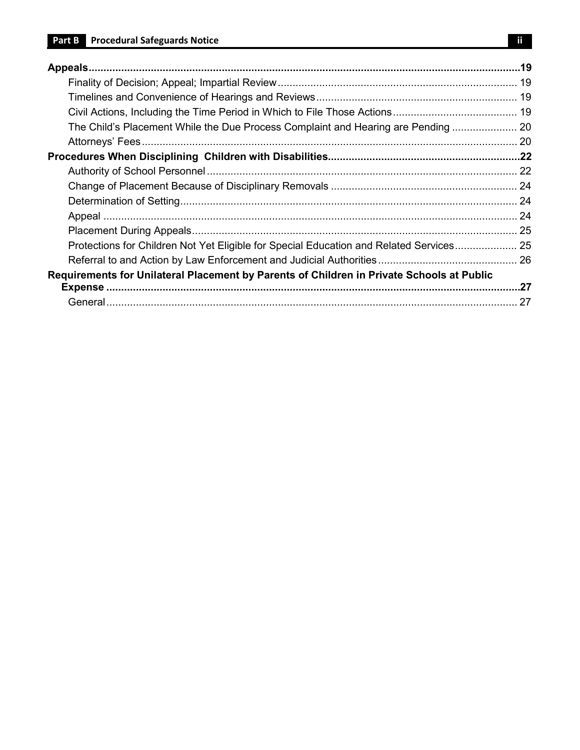| The Child's Placement While the Due Process Complaint and Hearing are Pending  20         |     |
|-------------------------------------------------------------------------------------------|-----|
|                                                                                           |     |
|                                                                                           |     |
|                                                                                           |     |
|                                                                                           |     |
|                                                                                           |     |
|                                                                                           |     |
|                                                                                           |     |
| Protections for Children Not Yet Eligible for Special Education and Related Services 25   |     |
|                                                                                           |     |
| Requirements for Unilateral Placement by Parents of Children in Private Schools at Public |     |
|                                                                                           | .27 |
|                                                                                           |     |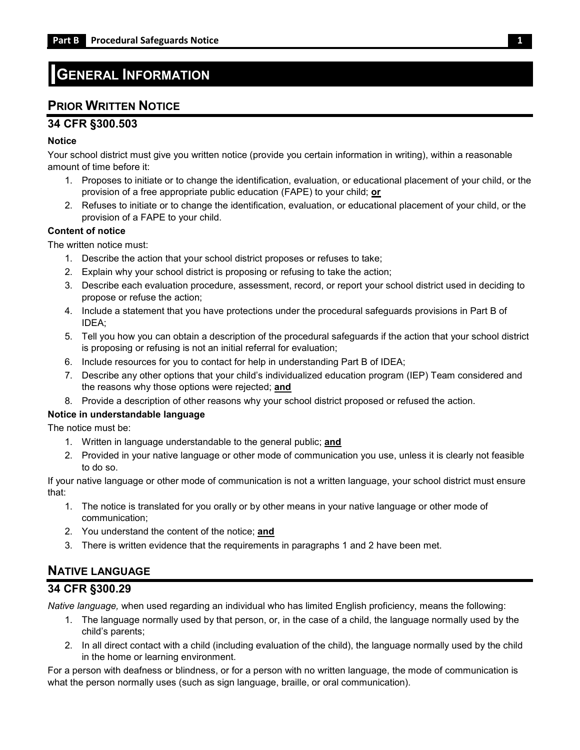## <span id="page-3-0"></span>**GENERAL INFORMATION**

## <span id="page-3-1"></span>**PRIOR WRITTEN NOTICE**

#### **34 CFR §300.503**

#### **Notice**

Your school district must give you written notice (provide you certain information in writing), within a reasonable amount of time before it:

- 1. Proposes to initiate or to change the identification, evaluation, or educational placement of your child, or the provision of a free appropriate public education (FAPE) to your child; **or**
- 2. Refuses to initiate or to change the identification, evaluation, or educational placement of your child, or the provision of a FAPE to your child.

#### **Content of notice**

The written notice must:

- 1. Describe the action that your school district proposes or refuses to take;
- 2. Explain why your school district is proposing or refusing to take the action;
- 3. Describe each evaluation procedure, assessment, record, or report your school district used in deciding to propose or refuse the action;
- 4. Include a statement that you have protections under the procedural safeguards provisions in Part B of IDEA;
- 5. Tell you how you can obtain a description of the procedural safeguards if the action that your school district is proposing or refusing is not an initial referral for evaluation;
- 6. Include resources for you to contact for help in understanding Part B of IDEA;
- 7. Describe any other options that your child's individualized education program (IEP) Team considered and the reasons why those options were rejected; **and**
- 8. Provide a description of other reasons why your school district proposed or refused the action.

#### **Notice in understandable language**

The notice must be:

- 1. Written in language understandable to the general public; **and**
- 2. Provided in your native language or other mode of communication you use, unless it is clearly not feasible to do so.

If your native language or other mode of communication is not a written language, your school district must ensure that:

- 1. The notice is translated for you orally or by other means in your native language or other mode of communication;
- 2. You understand the content of the notice; **and**
- 3. There is written evidence that the requirements in paragraphs 1 and 2 have been met.

## <span id="page-3-2"></span>**NATIVE LANGUAGE**

#### **34 CFR §300.29**

*Native language,* when used regarding an individual who has limited English proficiency, means the following:

- 1. The language normally used by that person, or, in the case of a child, the language normally used by the child's parents;
- 2. In all direct contact with a child (including evaluation of the child), the language normally used by the child in the home or learning environment.

For a person with deafness or blindness, or for a person with no written language, the mode of communication is what the person normally uses (such as sign language, braille, or oral communication).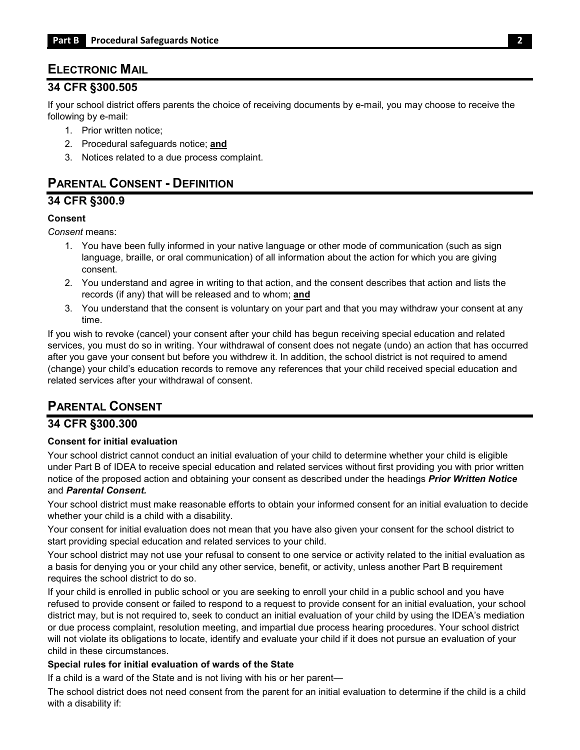## <span id="page-4-0"></span>**ELECTRONIC MAIL**

#### **34 CFR §300.505**

 If your school district offers parents the choice of receiving documents by e-mail, you may choose to receive the following by e-mail:

- 1. Prior written notice;
- 2. Procedural safeguards notice; **and**
- 3. Notices related to a due process complaint.

## <span id="page-4-1"></span>**PARENTAL CONSENT - DEFINITION**

### **34 CFR §300.9**

#### **Consent**

*Consent* means:

- language, braille, or oral communication) of all information about the action for which you are giving 1. You have been fully informed in your native language or other mode of communication (such as sign consent.
- 2. You understand and agree in writing to that action, and the consent describes that action and lists the records (if any) that will be released and to whom; **and**
- 3. You understand that the consent is voluntary on your part and that you may withdraw your consent at any time.

 If you wish to revoke (cancel) your consent after your child has begun receiving special education and related services, you must do so in writing. Your withdrawal of consent does not negate (undo) an action that has occurred after you gave your consent but before you withdrew it. In addition, the school district is not required to amend related services after your withdrawal of consent. (change) your child's education records to remove any references that your child received special education and

## <span id="page-4-2"></span>**PARENTAL CONSENT**

### **34 CFR §300.300**

#### **Consent for initial evaluation**

 under Part B of IDEA to receive special education and related services without first providing you with prior written Your school district cannot conduct an initial evaluation of your child to determine whether your child is eligible notice of the proposed action and obtaining your consent as described under the headings *Prior Written Notice*  and *Parental Consent.* 

Your school district must make reasonable efforts to obtain your informed consent for an initial evaluation to decide whether your child is a child with a disability.

Your consent for initial evaluation does not mean that you have also given your consent for the school district to start providing special education and related services to your child.

Your school district may not use your refusal to consent to one service or activity related to the initial evaluation as a basis for denying you or your child any other service, benefit, or activity, unless another Part B requirement requires the school district to do so.

 will not violate its obligations to locate, identify and evaluate your child if it does not pursue an evaluation of your If your child is enrolled in public school or you are seeking to enroll your child in a public school and you have refused to provide consent or failed to respond to a request to provide consent for an initial evaluation, your school district may, but is not required to, seek to conduct an initial evaluation of your child by using the IDEA's mediation or due process complaint, resolution meeting, and impartial due process hearing procedures. Your school district child in these circumstances.

#### **Special rules for initial evaluation of wards of the State**

If a child is a ward of the State and is not living with his or her parent—

The school district does not need consent from the parent for an initial evaluation to determine if the child is a child with a disability if: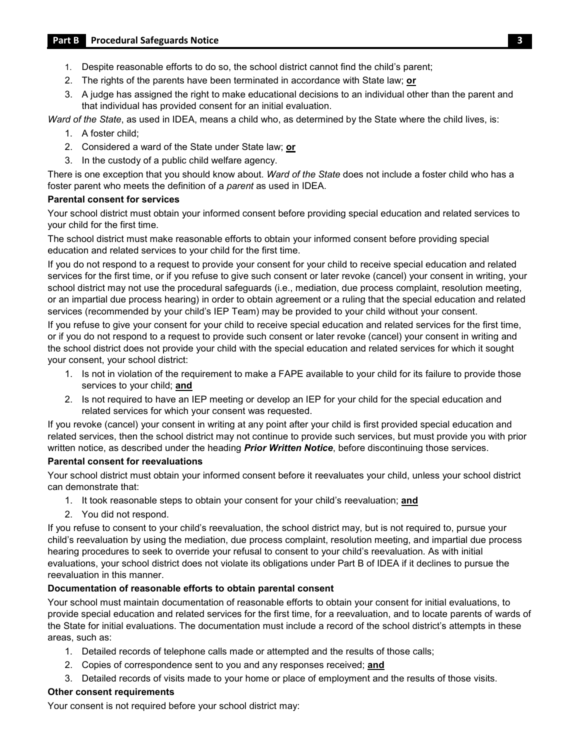#### **Part B Procedural Safeguards Notice 3**

- 1. Despite reasonable efforts to do so, the school district cannot find the child's parent;
- 2. The rights of the parents have been terminated in accordance with State law; **or**
- 3. A judge has assigned the right to make educational decisions to an individual other than the parent and that individual has provided consent for an initial evaluation.

*Ward of the State*, as used in IDEA, means a child who, as determined by the State where the child lives, is:

- 1. A foster child;
- 2. Considered a ward of the State under State law; **or**
- 3. In the custody of a public child welfare agency.

There is one exception that you should know about. *Ward of the State* does not include a foster child who has a foster parent who meets the definition of a *parent* as used in IDEA.

#### **Parental consent for services**

Your school district must obtain your informed consent before providing special education and related services to your child for the first time.

The school district must make reasonable efforts to obtain your informed consent before providing special education and related services to your child for the first time.

 If you do not respond to a request to provide your consent for your child to receive special education and related services for the first time, or if you refuse to give such consent or later revoke (cancel) your consent in writing, your or an impartial due process hearing) in order to obtain agreement or a ruling that the special education and related services (recommended by your child's IEP Team) may be provided to your child without your consent. school district may not use the procedural safeguards (i.e., mediation, due process complaint, resolution meeting,

If you refuse to give your consent for your child to receive special education and related services for the first time, or if you do not respond to a request to provide such consent or later revoke (cancel) your consent in writing and the school district does not provide your child with the special education and related services for which it sought your consent, your school district:

- 1. Is not in violation of the requirement to make a FAPE available to your child for its failure to provide those services to your child; **and**
- 2. Is not required to have an IEP meeting or develop an IEP for your child for the special education and related services for which your consent was requested.

 If you revoke (cancel) your consent in writing at any point after your child is first provided special education and related services, then the school district may not continue to provide such services, but must provide you with prior written notice, as described under the heading *Prior Written Notice*, before discontinuing those services.

#### **Parental consent for reevaluations**

 Your school district must obtain your informed consent before it reevaluates your child, unless your school district can demonstrate that:

- 1. It took reasonable steps to obtain your consent for your child's reevaluation; **and**
- 2. You did not respond.

 If you refuse to consent to your child's reevaluation, the school district may, but is not required to, pursue your hearing procedures to seek to override your refusal to consent to your child's reevaluation. As with initial evaluations, your school district does not violate its obligations under Part B of IDEA if it declines to pursue the child's reevaluation by using the mediation, due process complaint, resolution meeting, and impartial due process reevaluation in this manner.

#### **Documentation of reasonable efforts to obtain parental consent**

 provide special education and related services for the first time, for a reevaluation, and to locate parents of wards of Your school must maintain documentation of reasonable efforts to obtain your consent for initial evaluations, to the State for initial evaluations. The documentation must include a record of the school district's attempts in these areas, such as:

- 1. Detailed records of telephone calls made or attempted and the results of those calls;
- 2. Copies of correspondence sent to you and any responses received; **and**
- 3. Detailed records of visits made to your home or place of employment and the results of those visits.

#### **Other consent requirements**

Your consent is not required before your school district may: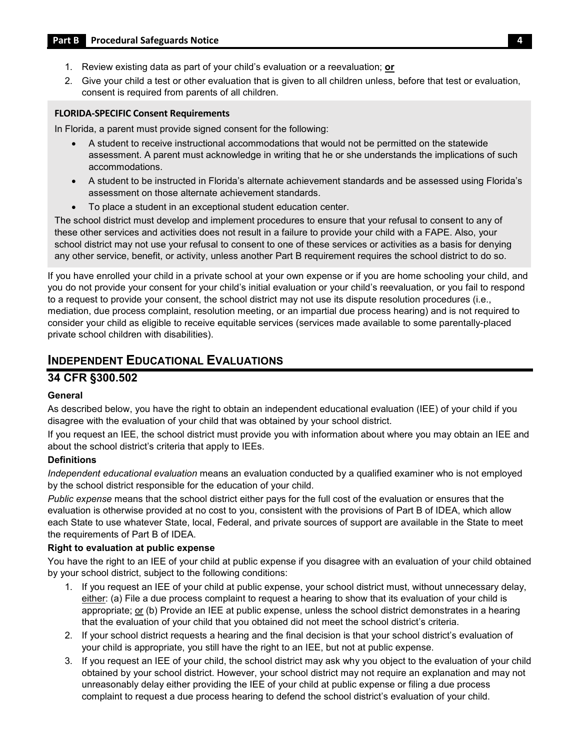- 1. Review existing data as part of your child's evaluation or a reevaluation; **or**
- 2. Give your child a test or other evaluation that is given to all children unless, before that test or evaluation, consent is required from parents of all children.

#### **FLORIDA-SPECIFIC Consent Requirements**

In Florida, a parent must provide signed consent for the following:

- A student to receive instructional accommodations that would not be permitted on the statewide assessment. A parent must acknowledge in writing that he or she understands the implications of such accommodations.
- A student to be instructed in Florida's alternate achievement standards and be assessed using Florida's assessment on those alternate achievement standards.
- To place a student in an exceptional student education center.

 The school district must develop and implement procedures to ensure that your refusal to consent to any of these other services and activities does not result in a failure to provide your child with a FAPE. Also, your any other service, benefit, or activity, unless another Part B requirement requires the school district to do so. school district may not use your refusal to consent to one of these services or activities as a basis for denying

 If you have enrolled your child in a private school at your own expense or if you are home schooling your child, and you do not provide your consent for your child's initial evaluation or your child's reevaluation, or you fail to respond to a request to provide your consent, the school district may not use its dispute resolution procedures (i.e., mediation, due process complaint, resolution meeting, or an impartial due process hearing) and is not required to consider your child as eligible to receive equitable services (services made available to some parentally-placed private school children with disabilities).

## <span id="page-6-0"></span>**INDEPENDENT EDUCATIONAL EVALUATIONS**

#### **34 CFR §300.502**

#### **General**

As described below, you have the right to obtain an independent educational evaluation (IEE) of your child if you disagree with the evaluation of your child that was obtained by your school district.

 If you request an IEE, the school district must provide you with information about where you may obtain an IEE and about the school district's criteria that apply to IEEs.

#### **Definitions**

*Independent educational evaluation* means an evaluation conducted by a qualified examiner who is not employed by the school district responsible for the education of your child.

 *Public expense* means that the school district either pays for the full cost of the evaluation or ensures that the the requirements of Part B of IDEA. evaluation is otherwise provided at no cost to you, consistent with the provisions of Part B of IDEA, which allow each State to use whatever State, local, Federal, and private sources of support are available in the State to meet

#### **Right to evaluation at public expense**

You have the right to an IEE of your child at public expense if you disagree with an evaluation of your child obtained by your school district, subject to the following conditions:

- 1. If you request an IEE of your child at public expense, your school district must, without unnecessary delay, that the evaluation of your child that you obtained did not meet the school district's criteria. either: (a) File a due process complaint to request a hearing to show that its evaluation of your child is appropriate; or (b) Provide an IEE at public expense, unless the school district demonstrates in a hearing
- your child is appropriate, you still have the right to an IEE, but not at public expense. 2. If your school district requests a hearing and the final decision is that your school district's evaluation of
- obtained by your school district. However, your school district may not require an explanation and may not 3. If you request an IEE of your child, the school district may ask why you object to the evaluation of your child unreasonably delay either providing the IEE of your child at public expense or filing a due process complaint to request a due process hearing to defend the school district's evaluation of your child.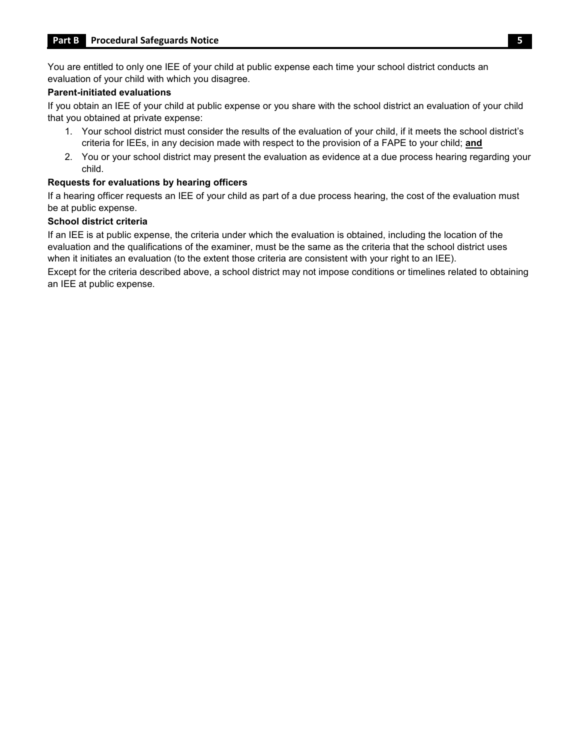You are entitled to only one IEE of your child at public expense each time your school district conducts an evaluation of your child with which you disagree.

#### **Parent-initiated evaluations**

 If you obtain an IEE of your child at public expense or you share with the school district an evaluation of your child that you obtained at private expense:

- 1. Your school district must consider the results of the evaluation of your child, if it meets the school district's criteria for IEEs, in any decision made with respect to the provision of a FAPE to your child; **and**
- 2. You or your school district may present the evaluation as evidence at a due process hearing regarding your child.

#### **Requests for evaluations by hearing officers**

 If a hearing officer requests an IEE of your child as part of a due process hearing, the cost of the evaluation must be at public expense.

#### **School district criteria**

 evaluation and the qualifications of the examiner, must be the same as the criteria that the school district uses when it initiates an evaluation (to the extent those criteria are consistent with your right to an IEE). If an IEE is at public expense, the criteria under which the evaluation is obtained, including the location of the

Except for the criteria described above, a school district may not impose conditions or timelines related to obtaining an IEE at public expense.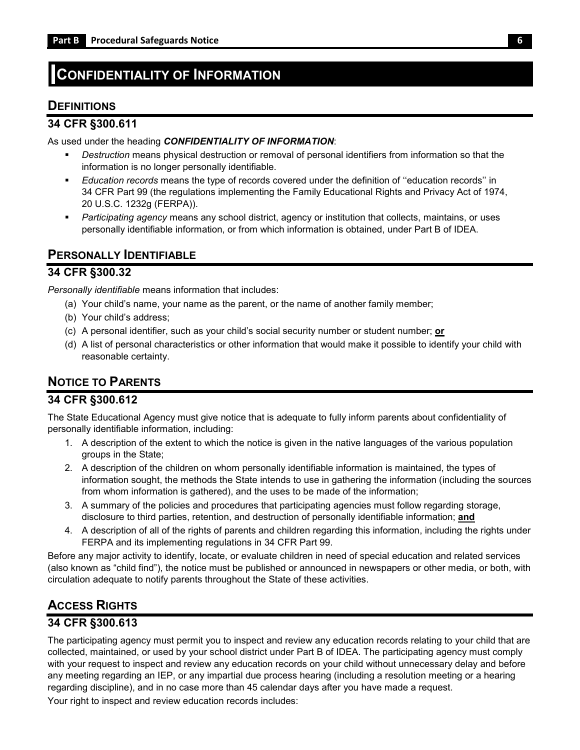## <span id="page-8-0"></span>**CONFIDENTIALITY OF INFORMATION**

## <span id="page-8-1"></span>**DEFINITIONS**

#### **34 CFR §300.611**

As used under the heading *CONFIDENTIALITY OF INFORMATION*:

- *Destruction* means physical destruction or removal of personal identifiers from information so that the information is no longer personally identifiable.
- 34 CFR Part 99 (the regulations implementing the Family Educational Rights and Privacy Act of 1974, *Education records* means the type of records covered under the definition of ''education records'' in 20 U.S.C. 1232g (FERPA)).
- *Participating agency* means any school district, agency or institution that collects, maintains, or uses personally identifiable information, or from which information is obtained, under Part B of IDEA.

### <span id="page-8-2"></span>**PERSONALLY IDENTIFIABLE**

#### **34 CFR §300.32**

*Personally identifiable* means information that includes:

- (a) Your child's name, your name as the parent, or the name of another family member;
- (b) Your child's address;
- (c) A personal identifier, such as your child's social security number or student number; **or**
- (d) A list of personal characteristics or other information that would make it possible to identify your child with reasonable certainty.

## <span id="page-8-3"></span>**NOTICE TO PARENTS**

#### **34 CFR §300.612**

 The State Educational Agency must give notice that is adequate to fully inform parents about confidentiality of personally identifiable information, including:

- 1. A description of the extent to which the notice is given in the native languages of the various population groups in the State;
- 2. A description of the children on whom personally identifiable information is maintained, the types of information sought, the methods the State intends to use in gathering the information (including the sources from whom information is gathered), and the uses to be made of the information;
- 3. A summary of the policies and procedures that participating agencies must follow regarding storage, disclosure to third parties, retention, and destruction of personally identifiable information; **and**
- 4. A description of all of the rights of parents and children regarding this information, including the rights under FERPA and its implementing regulations in 34 CFR Part 99.

 (also known as "child find"), the notice must be published or announced in newspapers or other media, or both, with Before any major activity to identify, locate, or evaluate children in need of special education and related services circulation adequate to notify parents throughout the State of these activities.

## <span id="page-8-4"></span>**ACCESS RIGHTS**

### **34 CFR §300.613**

 The participating agency must permit you to inspect and review any education records relating to your child that are collected, maintained, or used by your school district under Part B of IDEA. The participating agency must comply any meeting regarding an IEP, or any impartial due process hearing (including a resolution meeting or a hearing Your right to inspect and review education records includes: with your request to inspect and review any education records on your child without unnecessary delay and before regarding discipline), and in no case more than 45 calendar days after you have made a request.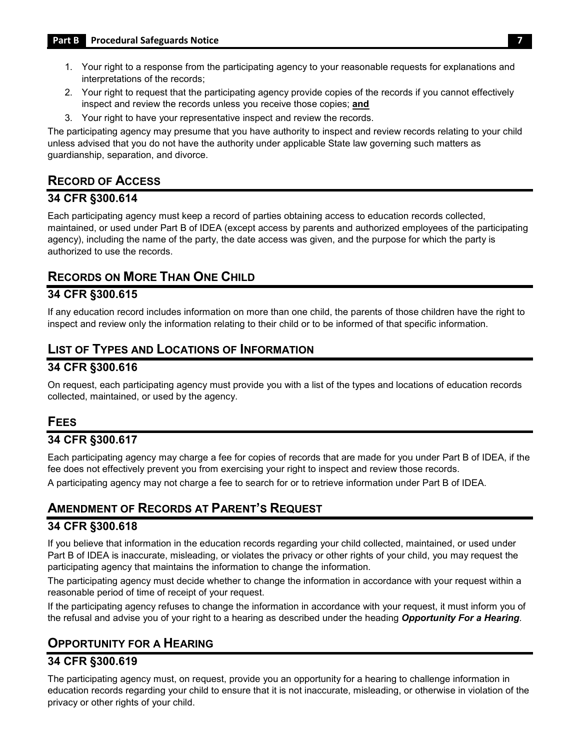- 1. Your right to a response from the participating agency to your reasonable requests for explanations and interpretations of the records;
- 2. Your right to request that the participating agency provide copies of the records if you cannot effectively inspect and review the records unless you receive those copies; **and**
- 3. Your right to have your representative inspect and review the records.

 The participating agency may presume that you have authority to inspect and review records relating to your child unless advised that you do not have the authority under applicable State law governing such matters as guardianship, separation, and divorce.

## <span id="page-9-0"></span>**RECORD OF ACCESS**

### **34 CFR §300.614**

 Each participating agency must keep a record of parties obtaining access to education records collected, maintained, or used under Part B of IDEA (except access by parents and authorized employees of the participating agency), including the name of the party, the date access was given, and the purpose for which the party is authorized to use the records.

## <span id="page-9-1"></span>**RECORDS ON MORE THAN ONE CHILD**

### **34 CFR §300.615**

 inspect and review only the information relating to their child or to be informed of that specific information. If any education record includes information on more than one child, the parents of those children have the right to

## <span id="page-9-2"></span>**LIST OF TYPES AND LOCATIONS OF INFORMATION**

#### **34 CFR §300.616**

On request, each participating agency must provide you with a list of the types and locations of education records collected, maintained, or used by the agency.

## <span id="page-9-3"></span>**FEES**

### **34 CFR §300.617**

 Each participating agency may charge a fee for copies of records that are made for you under Part B of IDEA, if the fee does not effectively prevent you from exercising your right to inspect and review those records. A participating agency may not charge a fee to search for or to retrieve information under Part B of IDEA.

## <span id="page-9-4"></span> **AMENDMENT OF RECORDS AT PARENT'S REQUEST**

#### **34 CFR §300.618**

 Part B of IDEA is inaccurate, misleading, or violates the privacy or other rights of your child, you may request the If you believe that information in the education records regarding your child collected, maintained, or used under participating agency that maintains the information to change the information.

The participating agency must decide whether to change the information in accordance with your request within a reasonable period of time of receipt of your request.

 If the participating agency refuses to change the information in accordance with your request, it must inform you of the refusal and advise you of your right to a hearing as described under the heading *Opportunity For a Hearing.* 

## <span id="page-9-5"></span>**OPPORTUNITY FOR A HEARING**

### **34 CFR §300.619**

The participating agency must, on request, provide you an opportunity for a hearing to challenge information in education records regarding your child to ensure that it is not inaccurate, misleading, or otherwise in violation of the privacy or other rights of your child.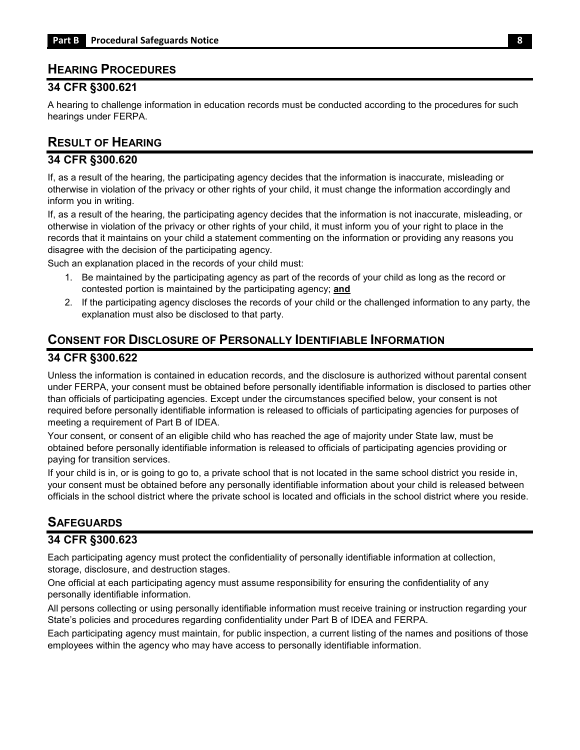### <span id="page-10-0"></span>**HEARING PROCEDURES**

#### **34 CFR §300.621**

A hearing to challenge information in education records must be conducted according to the procedures for such hearings under FERPA.

## <span id="page-10-1"></span>**RESULT OF HEARING**

#### **34 CFR §300.620**

 otherwise in violation of the privacy or other rights of your child, it must change the information accordingly and If, as a result of the hearing, the participating agency decides that the information is inaccurate, misleading or inform you in writing.

 otherwise in violation of the privacy or other rights of your child, it must inform you of your right to place in the If, as a result of the hearing, the participating agency decides that the information is not inaccurate, misleading, or records that it maintains on your child a statement commenting on the information or providing any reasons you disagree with the decision of the participating agency.

Such an explanation placed in the records of your child must:

- 1. Be maintained by the participating agency as part of the records of your child as long as the record or contested portion is maintained by the participating agency; **and**
- 2. If the participating agency discloses the records of your child or the challenged information to any party, the explanation must also be disclosed to that party.

# <span id="page-10-2"></span>**CONSENT FOR DISCLOSURE OF PERSONALLY IDENTIFIABLE INFORMATION**

#### **34 CFR §300.622**

 Unless the information is contained in education records, and the disclosure is authorized without parental consent than officials of participating agencies. Except under the circumstances specified below, your consent is not under FERPA, your consent must be obtained before personally identifiable information is disclosed to parties other required before personally identifiable information is released to officials of participating agencies for purposes of meeting a requirement of Part B of IDEA.

 Your consent, or consent of an eligible child who has reached the age of majority under State law, must be obtained before personally identifiable information is released to officials of participating agencies providing or paying for transition services.

 If your child is in, or is going to go to, a private school that is not located in the same school district you reside in, your consent must be obtained before any personally identifiable information about your child is released between officials in the school district where the private school is located and officials in the school district where you reside.

## <span id="page-10-3"></span>**SAFEGUARDS**

#### **34 CFR §300.623**

Each participating agency must protect the confidentiality of personally identifiable information at collection, storage, disclosure, and destruction stages.

One official at each participating agency must assume responsibility for ensuring the confidentiality of any personally identifiable information.

 State's policies and procedures regarding confidentiality under Part B of IDEA and FERPA. All persons collecting or using personally identifiable information must receive training or instruction regarding your

 Each participating agency must maintain, for public inspection, a current listing of the names and positions of those employees within the agency who may have access to personally identifiable information.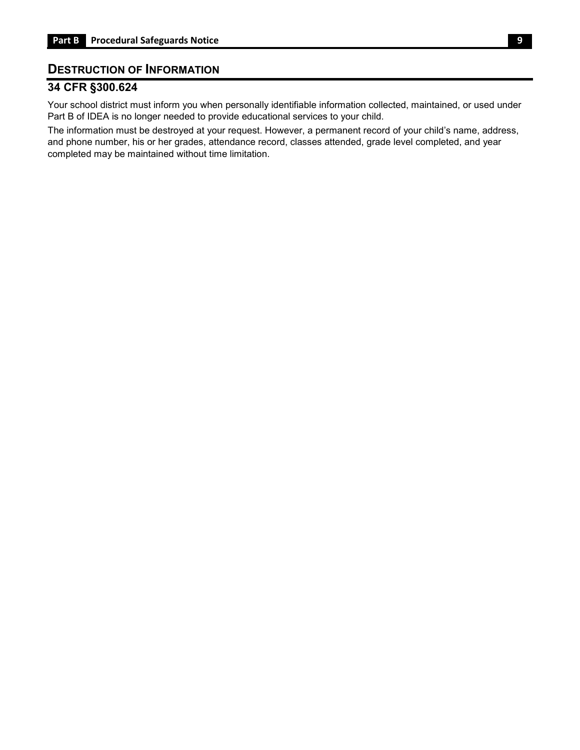### <span id="page-11-0"></span>**DESTRUCTION OF INFORMATION**

## **34 CFR §300.624**

 Part B of IDEA is no longer needed to provide educational services to your child. Your school district must inform you when personally identifiable information collected, maintained, or used under

The information must be destroyed at your request. However, a permanent record of your child's name, address, and phone number, his or her grades, attendance record, classes attended, grade level completed, and year completed may be maintained without time limitation.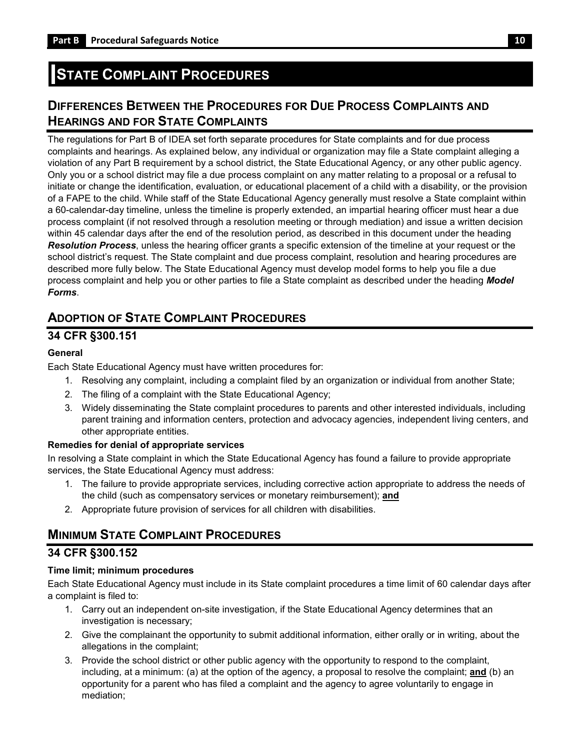# <span id="page-12-0"></span>**STATE COMPLAINT PROCEDURES**

## <span id="page-12-1"></span>**DIFFERENCES BETWEEN THE PROCEDURES FOR DUE PROCESS COMPLAINTS AND HEARINGS AND FOR STATE COMPLAINTS**

 violation of any Part B requirement by a school district, the State Educational Agency, or any other public agency. Only you or a school district may file a due process complaint on any matter relating to a proposal or a refusal to initiate or change the identification, evaluation, or educational placement of a child with a disability, or the provision a 60-calendar-day timeline, unless the timeline is properly extended, an impartial hearing officer must hear a due The regulations for Part B of IDEA set forth separate procedures for State complaints and for due process complaints and hearings. As explained below, any individual or organization may file a State complaint alleging a of a FAPE to the child. While staff of the State Educational Agency generally must resolve a State complaint within process complaint (if not resolved through a resolution meeting or through mediation) and issue a written decision within 45 calendar days after the end of the resolution period, as described in this document under the heading *Resolution Process*, unless the hearing officer grants a specific extension of the timeline at your request or the school district's request. The State complaint and due process complaint, resolution and hearing procedures are described more fully below. The State Educational Agency must develop model forms to help you file a due process complaint and help you or other parties to file a State complaint as described under the heading *Model Forms*.

## <span id="page-12-2"></span>**ADOPTION OF STATE COMPLAINT PROCEDURES**

### **34 CFR §300.151**

#### **General**

Each State Educational Agency must have written procedures for:

- 1. Resolving any complaint, including a complaint filed by an organization or individual from another State;
- 2. The filing of a complaint with the State Educational Agency;
- parent training and information centers, protection and advocacy agencies, independent living centers, and 3. Widely disseminating the State complaint procedures to parents and other interested individuals, including other appropriate entities.

#### **Remedies for denial of appropriate services**

In resolving a State complaint in which the State Educational Agency has found a failure to provide appropriate services, the State Educational Agency must address:

- 1. The failure to provide appropriate services, including corrective action appropriate to address the needs of the child (such as compensatory services or monetary reimbursement); **and**
- 2. Appropriate future provision of services for all children with disabilities.

## <span id="page-12-3"></span>**MINIMUM STATE COMPLAINT PROCEDURES**

### **34 CFR §300.152**

#### **Time limit; minimum procedures**

 a complaint is filed to: Each State Educational Agency must include in its State complaint procedures a time limit of 60 calendar days after

- 1. Carry out an independent on-site investigation, if the State Educational Agency determines that an investigation is necessary;
- 2. Give the complainant the opportunity to submit additional information, either orally or in writing, about the allegations in the complaint;
- opportunity for a parent who has filed a complaint and the agency to agree voluntarily to engage in 3. Provide the school district or other public agency with the opportunity to respond to the complaint, including, at a minimum: (a) at the option of the agency, a proposal to resolve the complaint; **and** (b) an mediation;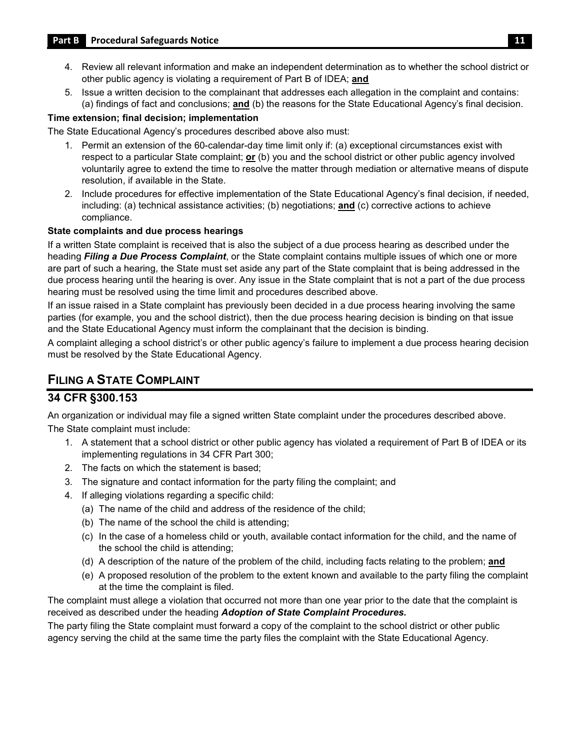- 4. Review all relevant information and make an independent determination as to whether the school district or other public agency is violating a requirement of Part B of IDEA; **and**
- 5. Issue a written decision to the complainant that addresses each allegation in the complaint and contains: (a) findings of fact and conclusions; **and** (b) the reasons for the State Educational Agency's final decision.

#### **Time extension; final decision; implementation**

The State Educational Agency's procedures described above also must:

- respect to a particular State complaint; **or** (b) you and the school district or other public agency involved 1. Permit an extension of the 60-calendar-day time limit only if: (a) exceptional circumstances exist with voluntarily agree to extend the time to resolve the matter through mediation or alternative means of dispute resolution, if available in the State.
- 2. Include procedures for effective implementation of the State Educational Agency's final decision, if needed, including: (a) technical assistance activities; (b) negotiations; **and** (c) corrective actions to achieve compliance.

#### **State complaints and due process hearings**

If a written State complaint is received that is also the subject of a due process hearing as described under the heading *Filing a Due Process Complaint*, or the State complaint contains multiple issues of which one or more are part of such a hearing, the State must set aside any part of the State complaint that is being addressed in the due process hearing until the hearing is over. Any issue in the State complaint that is not a part of the due process hearing must be resolved using the time limit and procedures described above.

If an issue raised in a State complaint has previously been decided in a due process hearing involving the same parties (for example, you and the school district), then the due process hearing decision is binding on that issue and the State Educational Agency must inform the complainant that the decision is binding.

A complaint alleging a school district's or other public agency's failure to implement a due process hearing decision must be resolved by the State Educational Agency.

## <span id="page-13-0"></span> **FILING A STATE COMPLAINT**

### **34 CFR §300.153**

An organization or individual may file a signed written State complaint under the procedures described above.

The State complaint must include:

- 1. A statement that a school district or other public agency has violated a requirement of Part B of IDEA or its implementing regulations in 34 CFR Part 300;
- 2. The facts on which the statement is based;
- 3. The signature and contact information for the party filing the complaint; and
- 4. If alleging violations regarding a specific child:
	- (a) The name of the child and address of the residence of the child;
	- (b) The name of the school the child is attending;
	- (c) In the case of a homeless child or youth, available contact information for the child, and the name of the school the child is attending;
	- (d) A description of the nature of the problem of the child, including facts relating to the problem; **and**
	- (e) A proposed resolution of the problem to the extent known and available to the party filing the complaint at the time the complaint is filed.

The complaint must allege a violation that occurred not more than one year prior to the date that the complaint is received as described under the heading *Adoption of State Complaint Procedures.* 

The party filing the State complaint must forward a copy of the complaint to the school district or other public agency serving the child at the same time the party files the complaint with the State Educational Agency.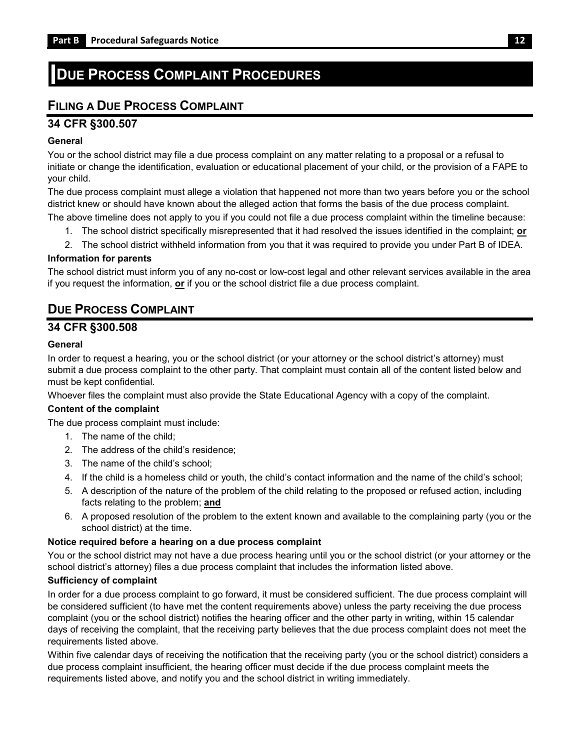## <span id="page-14-0"></span>**DUE PROCESS COMPLAINT PROCEDURES**

## <span id="page-14-1"></span>**FILING A DUE PROCESS COMPLAINT**

### **34 CFR §300.507**

#### **General**

 initiate or change the identification, evaluation or educational placement of your child, or the provision of a FAPE to You or the school district may file a due process complaint on any matter relating to a proposal or a refusal to your child.

The due process complaint must allege a violation that happened not more than two years before you or the school district knew or should have known about the alleged action that forms the basis of the due process complaint.

- The above timeline does not apply to you if you could not file a due process complaint within the timeline because:
	- 1. The school district specifically misrepresented that it had resolved the issues identified in the complaint; **or**
	- 2. The school district withheld information from you that it was required to provide you under Part B of IDEA.

#### **Information for parents**

 The school district must inform you of any no-cost or low-cost legal and other relevant services available in the area if you request the information, **or** if you or the school district file a due process complaint.

## <span id="page-14-2"></span>**DUE PROCESS COMPLAINT**

### **34 CFR §300.508**

#### **General**

 In order to request a hearing, you or the school district (or your attorney or the school district's attorney) must submit a due process complaint to the other party. That complaint must contain all of the content listed below and must be kept confidential.

Whoever files the complaint must also provide the State Educational Agency with a copy of the complaint.

#### **Content of the complaint**

The due process complaint must include:

- 1. The name of the child;
- 2. The address of the child's residence;
- 3. The name of the child's school;
- 4. If the child is a homeless child or youth, the child's contact information and the name of the child's school;
- 5. A description of the nature of the problem of the child relating to the proposed or refused action, including facts relating to the problem; **and**
- 6. A proposed resolution of the problem to the extent known and available to the complaining party (you or the school district) at the time.

#### **Notice required before a hearing on a due process complaint**

 You or the school district may not have a due process hearing until you or the school district (or your attorney or the school district's attorney) files a due process complaint that includes the information listed above.

#### **Sufficiency of complaint**

 In order for a due process complaint to go forward, it must be considered sufficient. The due process complaint will be considered sufficient (to have met the content requirements above) unless the party receiving the due process complaint (you or the school district) notifies the hearing officer and the other party in writing, within 15 calendar days of receiving the complaint, that the receiving party believes that the due process complaint does not meet the requirements listed above.

 requirements listed above, and notify you and the school district in writing immediately. Within five calendar days of receiving the notification that the receiving party (you or the school district) considers a due process complaint insufficient, the hearing officer must decide if the due process complaint meets the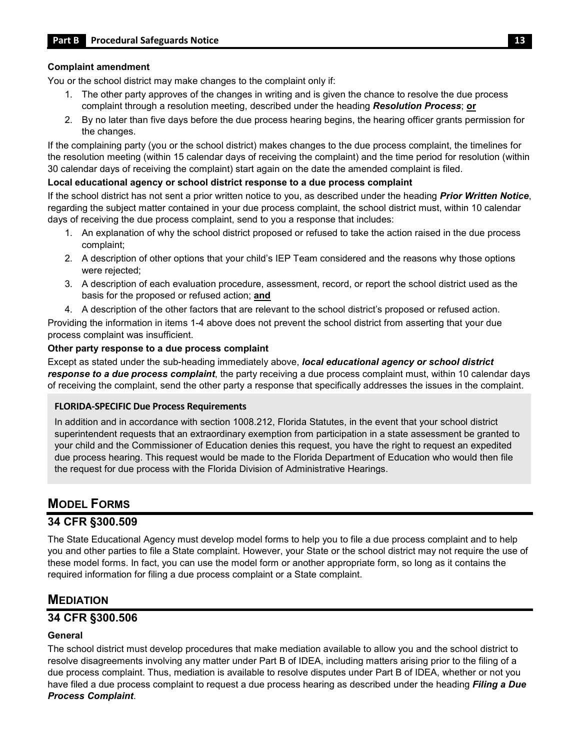#### **Complaint amendment**

You or the school district may make changes to the complaint only if:

- 1. The other party approves of the changes in writing and is given the chance to resolve the due process complaint through a resolution meeting, described under the heading *Resolution Process*; **or**
- 2. By no later than five days before the due process hearing begins, the hearing officer grants permission for the changes.

If the complaining party (you or the school district) makes changes to the due process complaint, the timelines for the resolution meeting (within 15 calendar days of receiving the complaint) and the time period for resolution (within 30 calendar days of receiving the complaint) start again on the date the amended complaint is filed.

#### **Local educational agency or school district response to a due process complaint**

 regarding the subject matter contained in your due process complaint, the school district must, within 10 calendar If the school district has not sent a prior written notice to you, as described under the heading *Prior Written Notice*, days of receiving the due process complaint, send to you a response that includes:

- 1. An explanation of why the school district proposed or refused to take the action raised in the due process complaint;
- 2. A description of other options that your child's IEP Team considered and the reasons why those options were rejected;
- 3. A description of each evaluation procedure, assessment, record, or report the school district used as the basis for the proposed or refused action; **and**
- 4. A description of the other factors that are relevant to the school district's proposed or refused action.

Providing the information in items 1-4 above does not prevent the school district from asserting that your due process complaint was insufficient.

#### **Other party response to a due process complaint**

Except as stated under the sub-heading immediately above, *local educational agency or school district response to a due process complaint*, the party receiving a due process complaint must, within 10 calendar days of receiving the complaint, send the other party a response that specifically addresses the issues in the complaint.

#### **FLORIDA-SPECIFIC Due Process Requirements**

In addition and in accordance with section 1008.212, Florida Statutes, in the event that your school district superintendent requests that an extraordinary exemption from participation in a state assessment be granted to your child and the Commissioner of Education denies this request, you have the right to request an expedited due process hearing. This request would be made to the Florida Department of Education who would then file the request for due process with the Florida Division of Administrative Hearings.

## <span id="page-15-0"></span>**MODEL FORMS**

### **34 CFR §300.509**

 you and other parties to file a State complaint. However, your State or the school district may not require the use of The State Educational Agency must develop model forms to help you to file a due process complaint and to help these model forms. In fact, you can use the model form or another appropriate form, so long as it contains the required information for filing a due process complaint or a State complaint.

## <span id="page-15-1"></span>**MEDIATION**

### **34 CFR §300.506**

#### **General**

 due process complaint. Thus, mediation is available to resolve disputes under Part B of IDEA, whether or not you The school district must develop procedures that make mediation available to allow you and the school district to resolve disagreements involving any matter under Part B of IDEA, including matters arising prior to the filing of a have filed a due process complaint to request a due process hearing as described under the heading *Filing a Due Process Complaint*.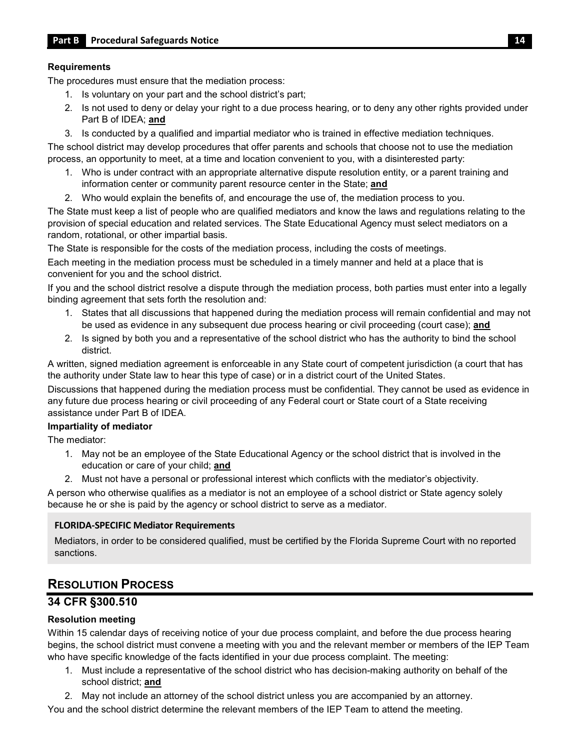#### **Requirements**

The procedures must ensure that the mediation process:

- 1. Is voluntary on your part and the school district's part;
- 2. Is not used to deny or delay your right to a due process hearing, or to deny any other rights provided under Part B of IDEA; **and**
- 3. Is conducted by a qualified and impartial mediator who is trained in effective mediation techniques.

The school district may develop procedures that offer parents and schools that choose not to use the mediation process, an opportunity to meet, at a time and location convenient to you, with a disinterested party:

- 1. Who is under contract with an appropriate alternative dispute resolution entity, or a parent training and information center or community parent resource center in the State; **and**
- 2. Who would explain the benefits of, and encourage the use of, the mediation process to you.

 The State must keep a list of people who are qualified mediators and know the laws and regulations relating to the random, rotational, or other impartial basis. provision of special education and related services. The State Educational Agency must select mediators on a

The State is responsible for the costs of the mediation process, including the costs of meetings.

Each meeting in the mediation process must be scheduled in a timely manner and held at a place that is convenient for you and the school district.

If you and the school district resolve a dispute through the mediation process, both parties must enter into a legally binding agreement that sets forth the resolution and:

- 1. States that all discussions that happened during the mediation process will remain confidential and may not be used as evidence in any subsequent due process hearing or civil proceeding (court case); **and**
- 2. Is signed by both you and a representative of the school district who has the authority to bind the school district.

A written, signed mediation agreement is enforceable in any State court of competent jurisdiction (a court that has the authority under State law to hear this type of case) or in a district court of the United States.

Discussions that happened during the mediation process must be confidential. They cannot be used as evidence in any future due process hearing or civil proceeding of any Federal court or State court of a State receiving assistance under Part B of IDEA.

#### **Impartiality of mediator**

The mediator:

- education or care of your child; **and**  1. May not be an employee of the State Educational Agency or the school district that is involved in the
- 2. Must not have a personal or professional interest which conflicts with the mediator's objectivity.

 A person who otherwise qualifies as a mediator is not an employee of a school district or State agency solely because he or she is paid by the agency or school district to serve as a mediator.

#### **FLORIDA-SPECIFIC Mediator Requirements**

Mediators, in order to be considered qualified, must be certified by the Florida Supreme Court with no reported sanctions.

## <span id="page-16-0"></span>**RESOLUTION PROCESS**

#### **34 CFR §300.510**

#### **Resolution meeting**

 Within 15 calendar days of receiving notice of your due process complaint, and before the due process hearing begins, the school district must convene a meeting with you and the relevant member or members of the IEP Team who have specific knowledge of the facts identified in your due process complaint. The meeting:

- 1. Must include a representative of the school district who has decision-making authority on behalf of the school district; **and**
- 2. May not include an attorney of the school district unless you are accompanied by an attorney.

You and the school district determine the relevant members of the IEP Team to attend the meeting.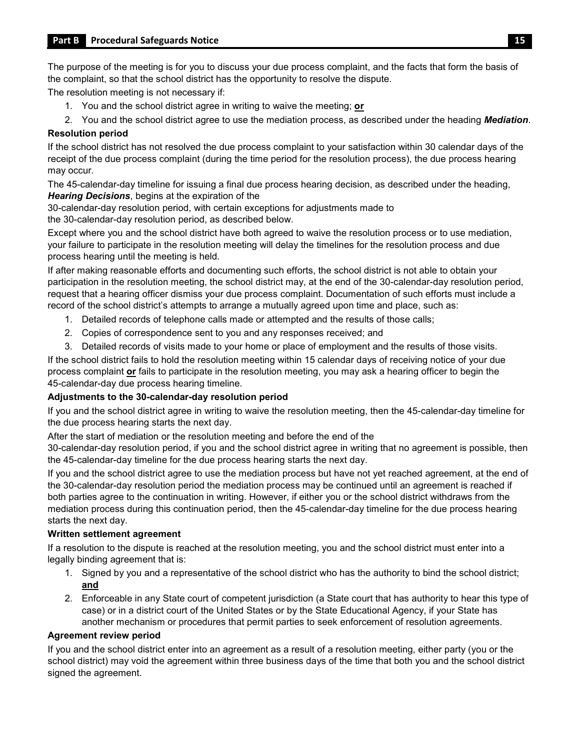the complaint, so that the school district has the opportunity to resolve the dispute. The purpose of the meeting is for you to discuss your due process complaint, and the facts that form the basis of

The resolution meeting is not necessary if:

1. You and the school district agree in writing to waive the meeting; **or** 

2. You and the school district agree to use the mediation process, as described under the heading *Mediation*.

#### **Resolution period**

If the school district has not resolved the due process complaint to your satisfaction within 30 calendar days of the receipt of the due process complaint (during the time period for the resolution process), the due process hearing may occur.

The 45-calendar-day timeline for issuing a final due process hearing decision, as described under the heading, *Hearing Decisions*, begins at the expiration of the

30-calendar-day resolution period, with certain exceptions for adjustments made to

the 30-calendar-day resolution period, as described below.

 your failure to participate in the resolution meeting will delay the timelines for the resolution process and due Except where you and the school district have both agreed to waive the resolution process or to use mediation, process hearing until the meeting is held.

 participation in the resolution meeting, the school district may, at the end of the 30-calendar-day resolution period, If after making reasonable efforts and documenting such efforts, the school district is not able to obtain your request that a hearing officer dismiss your due process complaint. Documentation of such efforts must include a record of the school district's attempts to arrange a mutually agreed upon time and place, such as:

- 1. Detailed records of telephone calls made or attempted and the results of those calls;
- 2. Copies of correspondence sent to you and any responses received; and
- 3. Detailed records of visits made to your home or place of employment and the results of those visits.

 If the school district fails to hold the resolution meeting within 15 calendar days of receiving notice of your due process complaint **or** fails to participate in the resolution meeting, you may ask a hearing officer to begin the 45-calendar-day due process hearing timeline.

#### **Adjustments to the 30-calendar-day resolution period**

 If you and the school district agree in writing to waive the resolution meeting, then the 45-calendar-day timeline for the due process hearing starts the next day.

After the start of mediation or the resolution meeting and before the end of the

 the 45-calendar-day timeline for the due process hearing starts the next day. 30-calendar-day resolution period, if you and the school district agree in writing that no agreement is possible, then

 If you and the school district agree to use the mediation process but have not yet reached agreement, at the end of the 30-calendar-day resolution period the mediation process may be continued until an agreement is reached if both parties agree to the continuation in writing. However, if either you or the school district withdraws from the mediation process during this continuation period, then the 45-calendar-day timeline for the due process hearing starts the next day.

#### **Written settlement agreement**

 legally binding agreement that is: If a resolution to the dispute is reached at the resolution meeting, you and the school district must enter into a

- 1. Signed by you and a representative of the school district who has the authority to bind the school district; **and**
- case) or in a district court of the United States or by the State Educational Agency, if your State has 2. Enforceable in any State court of competent jurisdiction (a State court that has authority to hear this type of another mechanism or procedures that permit parties to seek enforcement of resolution agreements.

#### **Agreement review period**

If you and the school district enter into an agreement as a result of a resolution meeting, either party (you or the school district) may void the agreement within three business days of the time that both you and the school district signed the agreement.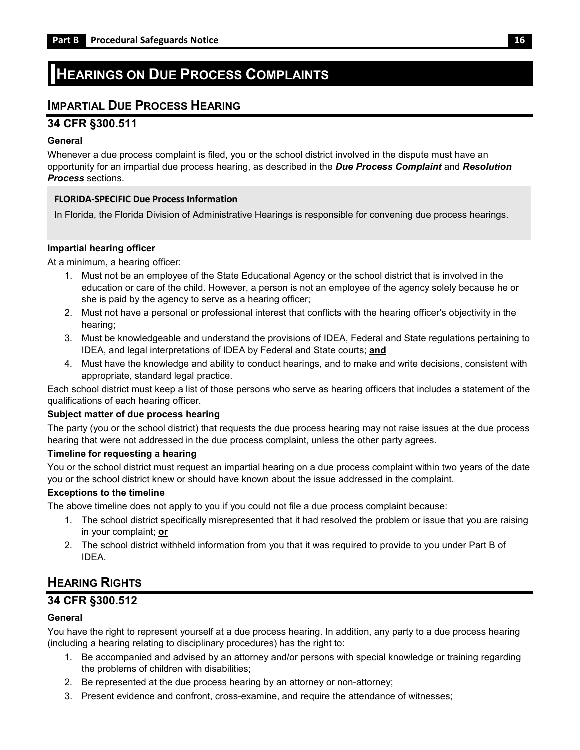## <span id="page-18-0"></span>**HEARINGS ON DUE PROCESS COMPLAINTS**

## <span id="page-18-1"></span>**IMPARTIAL DUE PROCESS HEARING**

#### **34 CFR §300.511**

#### **General**

 Whenever a due process complaint is filed, you or the school district involved in the dispute must have an  opportunity for an impartial due process hearing, as described in the *Due Process Complaint* and *Resolution Process* sections.

#### **FLORIDA-SPECIFIC Due Process Information**

In Florida, the Florida Division of Administrative Hearings is responsible for convening due process hearings.

#### **Impartial hearing officer**

At a minimum, a hearing officer:

- 1. Must not be an employee of the State Educational Agency or the school district that is involved in the education or care of the child. However, a person is not an employee of the agency solely because he or she is paid by the agency to serve as a hearing officer;
- 2. Must not have a personal or professional interest that conflicts with the hearing officer's objectivity in the hearing;
- 3. Must be knowledgeable and understand the provisions of IDEA, Federal and State regulations pertaining to IDEA, and legal interpretations of IDEA by Federal and State courts; **and**
- 4. Must have the knowledge and ability to conduct hearings, and to make and write decisions, consistent with appropriate, standard legal practice.

Each school district must keep a list of those persons who serve as hearing officers that includes a statement of the qualifications of each hearing officer.

#### **Subject matter of due process hearing**

The party (you or the school district) that requests the due process hearing may not raise issues at the due process hearing that were not addressed in the due process complaint, unless the other party agrees.

#### **Timeline for requesting a hearing**

You or the school district must request an impartial hearing on a due process complaint within two years of the date you or the school district knew or should have known about the issue addressed in the complaint.

#### **Exceptions to the timeline**

The above timeline does not apply to you if you could not file a due process complaint because:

- 1. The school district specifically misrepresented that it had resolved the problem or issue that you are raising in your complaint; **or**
- 2. The school district withheld information from you that it was required to provide to you under Part B of IDEA.

## <span id="page-18-2"></span>**HEARING RIGHTS**

### **34 CFR §300.512**

#### **General**

 You have the right to represent yourself at a due process hearing. In addition, any party to a due process hearing (including a hearing relating to disciplinary procedures) has the right to:

- 1. Be accompanied and advised by an attorney and/or persons with special knowledge or training regarding the problems of children with disabilities;
- 2. Be represented at the due process hearing by an attorney or non-attorney;
- 3. Present evidence and confront, cross-examine, and require the attendance of witnesses;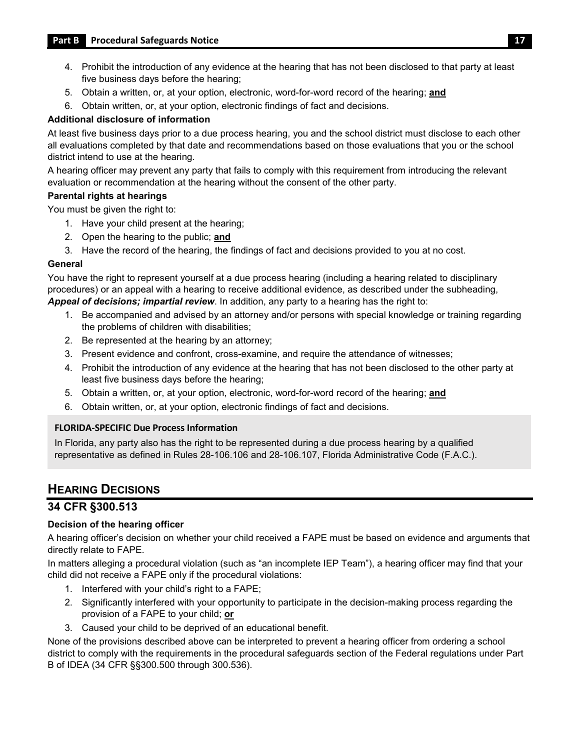- 4. Prohibit the introduction of any evidence at the hearing that has not been disclosed to that party at least five business days before the hearing;
- 5. Obtain a written, or, at your option, electronic, word-for-word record of the hearing; **and**
- 6. Obtain written, or, at your option, electronic findings of fact and decisions.

#### **Additional disclosure of information**

 At least five business days prior to a due process hearing, you and the school district must disclose to each other all evaluations completed by that date and recommendations based on those evaluations that you or the school district intend to use at the hearing.

 A hearing officer may prevent any party that fails to comply with this requirement from introducing the relevant evaluation or recommendation at the hearing without the consent of the other party.

#### **Parental rights at hearings**

You must be given the right to:

- 1. Have your child present at the hearing;
- 2. Open the hearing to the public; **and**
- 3. Have the record of the hearing, the findings of fact and decisions provided to you at no cost.

#### **General**

 You have the right to represent yourself at a due process hearing (including a hearing related to disciplinary *Appeal of decisions; impartial review*. In addition, any party to a hearing has the right to: procedures) or an appeal with a hearing to receive additional evidence, as described under the subheading,

- 1. Be accompanied and advised by an attorney and/or persons with special knowledge or training regarding the problems of children with disabilities;
- 2. Be represented at the hearing by an attorney;
- 3. Present evidence and confront, cross-examine, and require the attendance of witnesses;
- 4. Prohibit the introduction of any evidence at the hearing that has not been disclosed to the other party at least five business days before the hearing;
- 5. Obtain a written, or, at your option, electronic, word-for-word record of the hearing; **and**
- 6. Obtain written, or, at your option, electronic findings of fact and decisions.

#### **FLORIDA-SPECIFIC Due Process Information**

In Florida, any party also has the right to be represented during a due process hearing by a qualified representative as defined in Rules 28-106.106 and 28-106.107, Florida Administrative Code (F.A.C.).

## <span id="page-19-0"></span>**HEARING DECISIONS**

## **34 CFR §300.513**

#### **Decision of the hearing officer**

A hearing officer's decision on whether your child received a FAPE must be based on evidence and arguments that directly relate to FAPE.

 In matters alleging a procedural violation (such as "an incomplete IEP Team"), a hearing officer may find that your child did not receive a FAPE only if the procedural violations:

- 1. Interfered with your child's right to a FAPE;
- 2. Significantly interfered with your opportunity to participate in the decision-making process regarding the provision of a FAPE to your child; **or**
- 3. Caused your child to be deprived of an educational benefit.

None of the provisions described above can be interpreted to prevent a hearing officer from ordering a school district to comply with the requirements in the procedural safeguards section of the Federal regulations under Part B of IDEA (34 CFR §§300.500 through 300.536).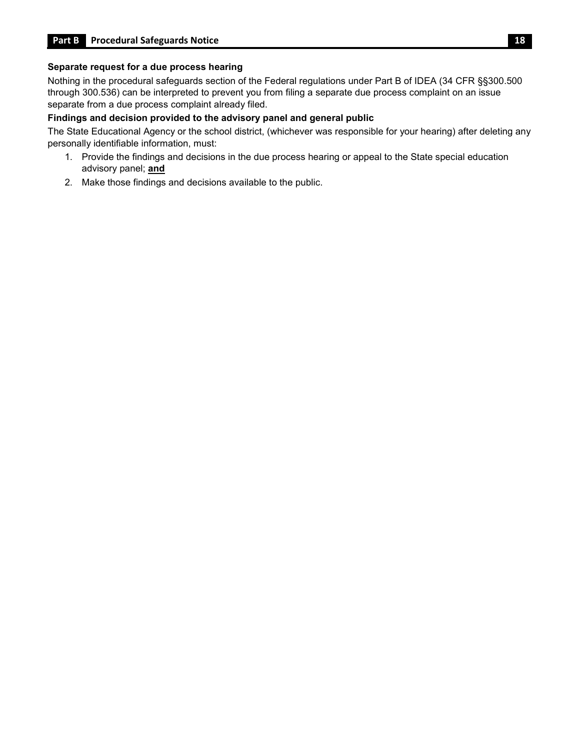#### **Separate request for a due process hearing**

 through 300.536) can be interpreted to prevent you from filing a separate due process complaint on an issue Nothing in the procedural safeguards section of the Federal regulations under Part B of IDEA (34 CFR §§300.500 separate from a due process complaint already filed.

#### **Findings and decision provided to the advisory panel and general public**

The State Educational Agency or the school district, (whichever was responsible for your hearing) after deleting any personally identifiable information, must:

- 1. Provide the findings and decisions in the due process hearing or appeal to the State special education advisory panel; **and**
- 2. Make those findings and decisions available to the public.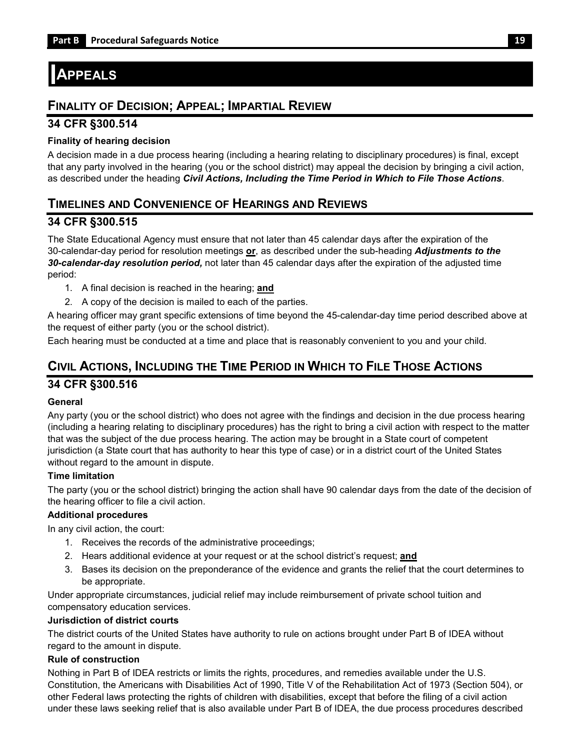## <span id="page-21-0"></span>**APPEALS**

## <span id="page-21-1"></span>**FINALITY OF DECISION; APPEAL; IMPARTIAL REVIEW**

#### **34 CFR §300.514**

#### **Finality of hearing decision**

 A decision made in a due process hearing (including a hearing relating to disciplinary procedures) is final, except that any party involved in the hearing (you or the school district) may appeal the decision by bringing a civil action, as described under the heading *Civil Actions, Including the Time Period in Which to File Those Actions*.

## <span id="page-21-2"></span>**TIMELINES AND CONVENIENCE OF HEARINGS AND REVIEWS**

#### **34 CFR §300.515**

 30-calendar-day period for resolution meetings **or**, as described under the sub-heading *Adjustments to the*  The State Educational Agency must ensure that not later than 45 calendar days after the expiration of the *30-calendar-day resolution period,* not later than 45 calendar days after the expiration of the adjusted time period:

- 1. A final decision is reached in the hearing; **and**
- 2. A copy of the decision is mailed to each of the parties.

A hearing officer may grant specific extensions of time beyond the 45-calendar-day time period described above at the request of either party (you or the school district).

Each hearing must be conducted at a time and place that is reasonably convenient to you and your child.

## <span id="page-21-3"></span>**CIVIL ACTIONS, INCLUDING THE TIME PERIOD IN WHICH TO FILE THOSE ACTIONS**

### **34 CFR §300.516**

#### **General**

 Any party (you or the school district) who does not agree with the findings and decision in the due process hearing (including a hearing relating to disciplinary procedures) has the right to bring a civil action with respect to the matter that was the subject of the due process hearing. The action may be brought in a State court of competent jurisdiction (a State court that has authority to hear this type of case) or in a district court of the United States without regard to the amount in dispute.

#### **Time limitation**

The party (you or the school district) bringing the action shall have 90 calendar days from the date of the decision of the hearing officer to file a civil action.

#### **Additional procedures**

In any civil action, the court:

- 1. Receives the records of the administrative proceedings;
- 2. Hears additional evidence at your request or at the school district's request; **and**
- 3. Bases its decision on the preponderance of the evidence and grants the relief that the court determines to be appropriate.

Under appropriate circumstances, judicial relief may include reimbursement of private school tuition and compensatory education services.

#### **Jurisdiction of district courts**

 The district courts of the United States have authority to rule on actions brought under Part B of IDEA without regard to the amount in dispute.

#### **Rule of construction**

 under these laws seeking relief that is also available under Part B of IDEA, the due process procedures described Nothing in Part B of IDEA restricts or limits the rights, procedures, and remedies available under the U.S. Constitution, the Americans with Disabilities Act of 1990, Title V of the Rehabilitation Act of 1973 (Section 504), or other Federal laws protecting the rights of children with disabilities, except that before the filing of a civil action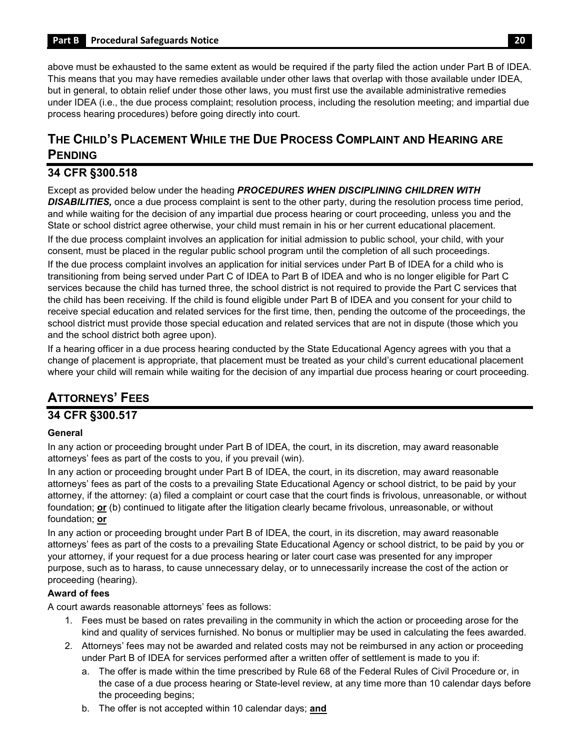<span id="page-22-0"></span> above must be exhausted to the same extent as would be required if the party filed the action under Part B of IDEA. This means that you may have remedies available under other laws that overlap with those available under IDEA, but in general, to obtain relief under those other laws, you must first use the available administrative remedies under IDEA (i.e., the due process complaint; resolution process, including the resolution meeting; and impartial due process hearing procedures) before going directly into court.

## **THE CHILD'S PLACEMENT WHILE THE DUE PROCESS COMPLAINT AND HEARING ARE PENDING**

## **34 CFR §300.518**

 and while waiting for the decision of any impartial due process hearing or court proceeding, unless you and the Except as provided below under the heading *PROCEDURES WHEN DISCIPLINING CHILDREN WITH DISABILITIES,* once a due process complaint is sent to the other party, during the resolution process time period, State or school district agree otherwise, your child must remain in his or her current educational placement.

If the due process complaint involves an application for initial admission to public school, your child, with your consent, must be placed in the regular public school program until the completion of all such proceedings.

 If the due process complaint involves an application for initial services under Part B of IDEA for a child who is transitioning from being served under Part C of IDEA to Part B of IDEA and who is no longer eligible for Part C the child has been receiving. If the child is found eligible under Part B of IDEA and you consent for your child to school district must provide those special education and related services that are not in dispute (those which you services because the child has turned three, the school district is not required to provide the Part C services that receive special education and related services for the first time, then, pending the outcome of the proceedings, the and the school district both agree upon).

 If a hearing officer in a due process hearing conducted by the State Educational Agency agrees with you that a change of placement is appropriate, that placement must be treated as your child's current educational placement where your child will remain while waiting for the decision of any impartial due process hearing or court proceeding.

## **ATTORNEYS' FEES**

## **34 CFR §300.517**

#### **General**

 In any action or proceeding brought under Part B of IDEA, the court, in its discretion, may award reasonable attorneys' fees as part of the costs to you, if you prevail (win).

 In any action or proceeding brought under Part B of IDEA, the court, in its discretion, may award reasonable attorneys' fees as part of the costs to a prevailing State Educational Agency or school district, to be paid by your attorney, if the attorney: (a) filed a complaint or court case that the court finds is frivolous, unreasonable, or without foundation; **or** (b) continued to litigate after the litigation clearly became frivolous, unreasonable, or without foundation; **or** 

 In any action or proceeding brought under Part B of IDEA, the court, in its discretion, may award reasonable attorneys' fees as part of the costs to a prevailing State Educational Agency or school district, to be paid by you or your attorney, if your request for a due process hearing or later court case was presented for any improper purpose, such as to harass, to cause unnecessary delay, or to unnecessarily increase the cost of the action or proceeding (hearing).

### **Award of fees**

A court awards reasonable attorneys' fees as follows:

- 1. Fees must be based on rates prevailing in the community in which the action or proceeding arose for the kind and quality of services furnished. No bonus or multiplier may be used in calculating the fees awarded.
- under Part B of IDEA for services performed after a written offer of settlement is made to you if: 2. Attorneys' fees may not be awarded and related costs may not be reimbursed in any action or proceeding
	- the case of a due process hearing or State-level review, at any time more than 10 calendar days before a. The offer is made within the time prescribed by Rule 68 of the Federal Rules of Civil Procedure or, in the proceeding begins;
	- b. The offer is not accepted within 10 calendar days; **and**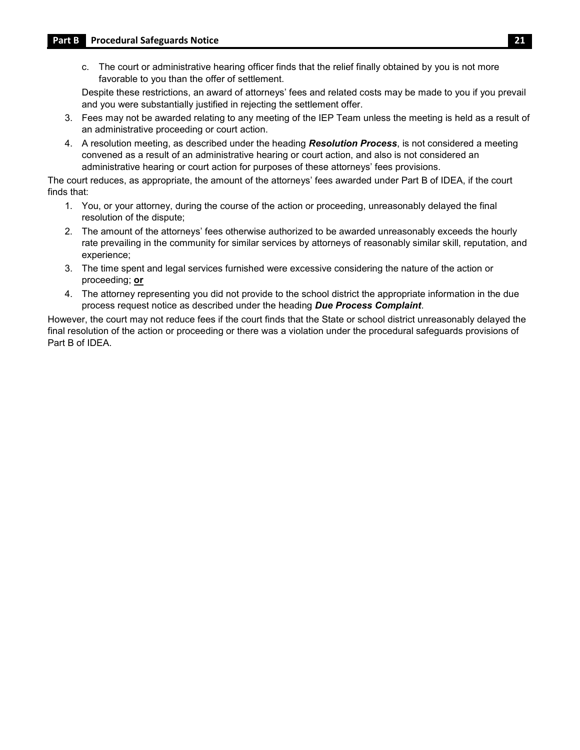c. The court or administrative hearing officer finds that the relief finally obtained by you is not more favorable to you than the offer of settlement.

 Despite these restrictions, an award of attorneys' fees and related costs may be made to you if you prevail and you were substantially justified in rejecting the settlement offer.

- an administrative proceeding or court action. 3. Fees may not be awarded relating to any meeting of the IEP Team unless the meeting is held as a result of
- 4. A resolution meeting, as described under the heading *Resolution Process*, is not considered a meeting convened as a result of an administrative hearing or court action, and also is not considered an administrative hearing or court action for purposes of these attorneys' fees provisions.

 The court reduces, as appropriate, the amount of the attorneys' fees awarded under Part B of IDEA, if the court finds that:

- 1. You, or your attorney, during the course of the action or proceeding, unreasonably delayed the final resolution of the dispute;
- rate prevailing in the community for similar services by attorneys of reasonably similar skill, reputation, and 2. The amount of the attorneys' fees otherwise authorized to be awarded unreasonably exceeds the hourly experience;
- 3. The time spent and legal services furnished were excessive considering the nature of the action or proceeding; **or**
- 4. The attorney representing you did not provide to the school district the appropriate information in the due process request notice as described under the heading *Due Process Complaint*.

However, the court may not reduce fees if the court finds that the State or school district unreasonably delayed the final resolution of the action or proceeding or there was a violation under the procedural safeguards provisions of Part B of IDEA.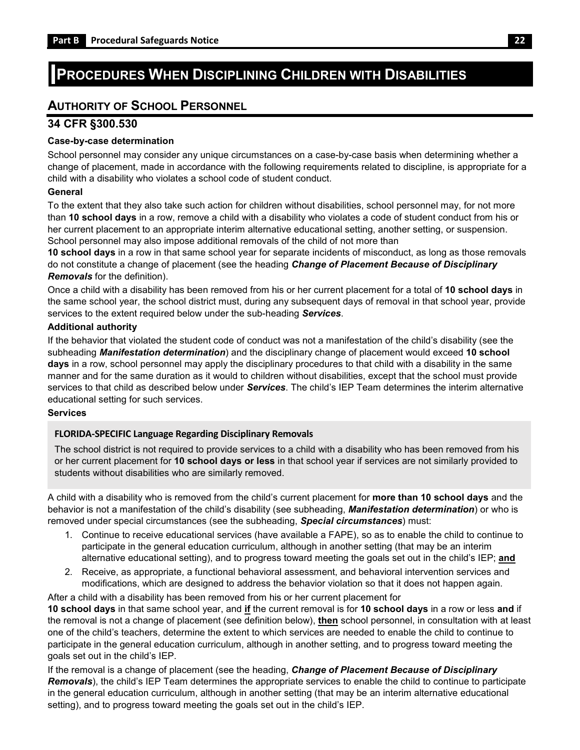## <span id="page-24-0"></span>**PROCEDURES WHEN DISCIPLINING CHILDREN WITH DISABILITIES**

## <span id="page-24-1"></span>**AUTHORITY OF SCHOOL PERSONNEL**

#### **34 CFR §300.530**

#### **Case-by-case determination**

School personnel may consider any unique circumstances on a case-by-case basis when determining whether a change of placement, made in accordance with the following requirements related to discipline, is appropriate for a child with a disability who violates a school code of student conduct.

#### **General**

To the extent that they also take such action for children without disabilities, school personnel may, for not more than **10 school days** in a row, remove a child with a disability who violates a code of student conduct from his or her current placement to an appropriate interim alternative educational setting, another setting, or suspension. School personnel may also impose additional removals of the child of not more than

**10 school days** in a row in that same school year for separate incidents of misconduct, as long as those removals do not constitute a change of placement (see the heading *Change of Placement Because of Disciplinary Removals* for the definition).

 the same school year, the school district must, during any subsequent days of removal in that school year, provide Once a child with a disability has been removed from his or her current placement for a total of **10 school days** in services to the extent required below under the sub-heading *Services*.

#### **Additional authority**

 manner and for the same duration as it would to children without disabilities, except that the school must provide If the behavior that violated the student code of conduct was not a manifestation of the child's disability (see the subheading *Manifestation determination*) and the disciplinary change of placement would exceed **10 school days** in a row, school personnel may apply the disciplinary procedures to that child with a disability in the same services to that child as described below under *Services*. The child's IEP Team determines the interim alternative educational setting for such services.

#### **Services**

#### **FLORIDA-SPECIFIC Language Regarding Disciplinary Removals**

 students without disabilities who are similarly removed. The school district is not required to provide services to a child with a disability who has been removed from his or her current placement for **10 school days or less** in that school year if services are not similarly provided to

 behavior is not a manifestation of the child's disability (see subheading, *Manifestation determination*) or who is A child with a disability who is removed from the child's current placement for **more than 10 school days** and the removed under special circumstances (see the subheading, *Special circumstances*) must:

- 1. Continue to receive educational services (have available a FAPE), so as to enable the child to continue to participate in the general education curriculum, although in another setting (that may be an interim alternative educational setting), and to progress toward meeting the goals set out in the child's IEP; **and**
- 2. Receive, as appropriate, a functional behavioral assessment, and behavioral intervention services and modifications, which are designed to address the behavior violation so that it does not happen again.

After a child with a disability has been removed from his or her current placement for

 **10 school days** in that same school year, and **if** the current removal is for **10 school days** in a row or less **and** if the removal is not a change of placement (see definition below), **then** school personnel, in consultation with at least one of the child's teachers, determine the extent to which services are needed to enable the child to continue to participate in the general education curriculum, although in another setting, and to progress toward meeting the goals set out in the child's IEP.

 setting), and to progress toward meeting the goals set out in the child's IEP. If the removal is a change of placement (see the heading, *Change of Placement Because of Disciplinary Removals*), the child's IEP Team determines the appropriate services to enable the child to continue to participate in the general education curriculum, although in another setting (that may be an interim alternative educational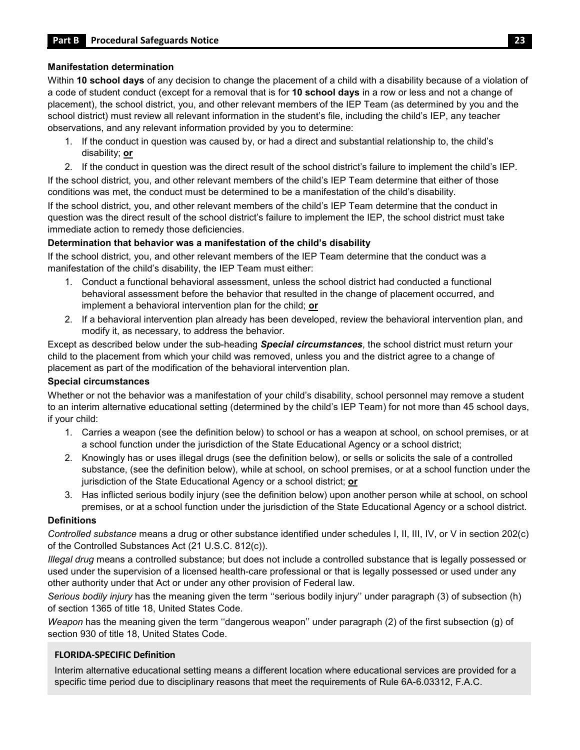#### **Manifestation determination**

 a code of student conduct (except for a removal that is for **10 school days** in a row or less and not a change of placement), the school district, you, and other relevant members of the IEP Team (as determined by you and the school district) must review all relevant information in the student's file, including the child's IEP, any teacher Within **10 school days** of any decision to change the placement of a child with a disability because of a violation of observations, and any relevant information provided by you to determine:

- 1. If the conduct in question was caused by, or had a direct and substantial relationship to, the child's disability; **or**
- 2. If the conduct in question was the direct result of the school district's failure to implement the child's IEP.

 If the school district, you, and other relevant members of the child's IEP Team determine that either of those conditions was met, the conduct must be determined to be a manifestation of the child's disability.

 If the school district, you, and other relevant members of the child's IEP Team determine that the conduct in question was the direct result of the school district's failure to implement the IEP, the school district must take immediate action to remedy those deficiencies.

#### **Determination that behavior was a manifestation of the child's disability**

 If the school district, you, and other relevant members of the IEP Team determine that the conduct was a manifestation of the child's disability, the IEP Team must either:

- 1. Conduct a functional behavioral assessment, unless the school district had conducted a functional behavioral assessment before the behavior that resulted in the change of placement occurred, and implement a behavioral intervention plan for the child; **or**
- 2. If a behavioral intervention plan already has been developed, review the behavioral intervention plan, and modify it, as necessary, to address the behavior.

Except as described below under the sub-heading *Special circumstances*, the school district must return your child to the placement from which your child was removed, unless you and the district agree to a change of placement as part of the modification of the behavioral intervention plan.

#### **Special circumstances**

Whether or not the behavior was a manifestation of your child's disability, school personnel may remove a student to an interim alternative educational setting (determined by the child's IEP Team) for not more than 45 school days, if your child:

- 1. Carries a weapon (see the definition below) to school or has a weapon at school, on school premises, or at a school function under the jurisdiction of the State Educational Agency or a school district;
- jurisdiction of the State Educational Agency or a school district; **or**  2. Knowingly has or uses illegal drugs (see the definition below), or sells or solicits the sale of a controlled substance, (see the definition below), while at school, on school premises, or at a school function under the
- premises, or at a school function under the jurisdiction of the State Educational Agency or a school district. 3. Has inflicted serious bodily injury (see the definition below) upon another person while at school, on school

#### **Definitions**

*Controlled substance* means a drug or other substance identified under schedules I, II, III, IV, or V in section 202(c) of the Controlled Substances Act (21 U.S.C. 812(c)).

 used under the supervision of a licensed health-care professional or that is legally possessed or used under any *Illegal drug* means a controlled substance; but does not include a controlled substance that is legally possessed or other authority under that Act or under any other provision of Federal law.

*Serious bodily injury* has the meaning given the term ''serious bodily injury'' under paragraph (3) of subsection (h) of section 1365 of title 18, United States Code.

 *Weapon* has the meaning given the term ''dangerous weapon'' under paragraph (2) of the first subsection (g) of section 930 of title 18, United States Code.

#### **FLORIDA-SPECIFIC Definition**

Interim alternative educational setting means a different location where educational services are provided for a specific time period due to disciplinary reasons that meet the requirements of Rule 6A-6.03312, F.A.C.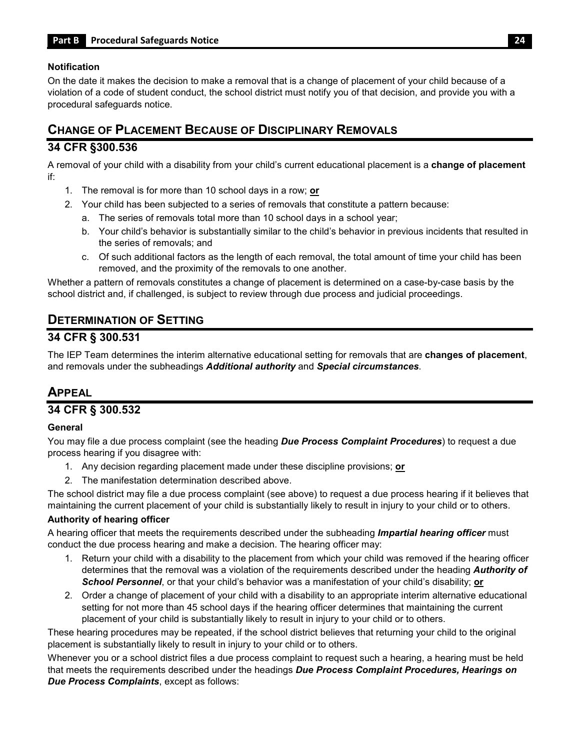#### **Notification**

 violation of a code of student conduct, the school district must notify you of that decision, and provide you with a On the date it makes the decision to make a removal that is a change of placement of your child because of a procedural safeguards notice.

## <span id="page-26-0"></span>**CHANGE OF PLACEMENT BECAUSE OF DISCIPLINARY REMOVALS**

#### **34 CFR §300.536**

 A removal of your child with a disability from your child's current educational placement is a **change of placement**  if:

- 1. The removal is for more than 10 school days in a row; **or**
- 2. Your child has been subjected to a series of removals that constitute a pattern because:
	- a. The series of removals total more than 10 school days in a school year;
	- b. Your child's behavior is substantially similar to the child's behavior in previous incidents that resulted in the series of removals; and
	- c. Of such additional factors as the length of each removal, the total amount of time your child has been removed, and the proximity of the removals to one another.

Whether a pattern of removals constitutes a change of placement is determined on a case-by-case basis by the school district and, if challenged, is subject to review through due process and judicial proceedings.

## <span id="page-26-1"></span>**DETERMINATION OF SETTING**

#### **34 CFR § 300.531**

 The IEP Team determines the interim alternative educational setting for removals that are **changes of placement**, and removals under the subheadings *Additional authority* and *Special circumstances*.

## <span id="page-26-2"></span>**APPEAL**

## **34 CFR § 300.532**

#### **General**

You may file a due process complaint (see the heading *Due Process Complaint Procedures*) to request a due process hearing if you disagree with:

- 1. Any decision regarding placement made under these discipline provisions; **or**
- 2. The manifestation determination described above.

The school district may file a due process complaint (see above) to request a due process hearing if it believes that maintaining the current placement of your child is substantially likely to result in injury to your child or to others.

#### **Authority of hearing officer**

A hearing officer that meets the requirements described under the subheading *Impartial hearing officer* must conduct the due process hearing and make a decision. The hearing officer may:

- *School Personnel*, or that your child's behavior was a manifestation of your child's disability; **or**  1. Return your child with a disability to the placement from which your child was removed if the hearing officer determines that the removal was a violation of the requirements described under the heading *Authority of*
- setting for not more than 45 school days if the hearing officer determines that maintaining the current placement of your child is substantially likely to result in injury to your child or to others. 2. Order a change of placement of your child with a disability to an appropriate interim alternative educational

 These hearing procedures may be repeated, if the school district believes that returning your child to the original placement is substantially likely to result in injury to your child or to others.

 Whenever you or a school district files a due process complaint to request such a hearing, a hearing must be held  that meets the requirements described under the headings *Due Process Complaint Procedures, Hearings on Due Process Complaints*, except as follows: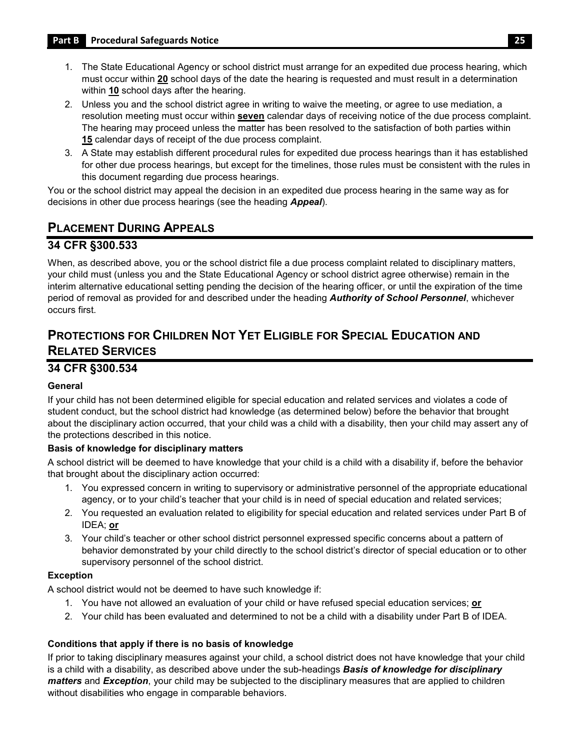- 1. The State Educational Agency or school district must arrange for an expedited due process hearing, which must occur within **20** school days of the date the hearing is requested and must result in a determination within **10** school days after the hearing.
- 2. Unless you and the school district agree in writing to waive the meeting, or agree to use mediation, a resolution meeting must occur within **seven** calendar days of receiving notice of the due process complaint. The hearing may proceed unless the matter has been resolved to the satisfaction of both parties within **15** calendar days of receipt of the due process complaint.
- 3. A State may establish different procedural rules for expedited due process hearings than it has established for other due process hearings, but except for the timelines, those rules must be consistent with the rules in this document regarding due process hearings.

 You or the school district may appeal the decision in an expedited due process hearing in the same way as for decisions in other due process hearings (see the heading *Appeal*).

## <span id="page-27-0"></span>**PLACEMENT DURING APPEALS**

### **34 CFR §300.533**

 your child must (unless you and the State Educational Agency or school district agree otherwise) remain in the When, as described above, you or the school district file a due process complaint related to disciplinary matters, interim alternative educational setting pending the decision of the hearing officer, or until the expiration of the time period of removal as provided for and described under the heading *Authority of School Personnel*, whichever occurs first.

## <span id="page-27-1"></span>**PROTECTIONS FOR CHILDREN NOT YET ELIGIBLE FOR SPECIAL EDUCATION AND RELATED SERVICES**

### **34 CFR §300.534**

#### **General**

 about the disciplinary action occurred, that your child was a child with a disability, then your child may assert any of If your child has not been determined eligible for special education and related services and violates a code of student conduct, but the school district had knowledge (as determined below) before the behavior that brought the protections described in this notice.

#### **Basis of knowledge for disciplinary matters**

A school district will be deemed to have knowledge that your child is a child with a disability if, before the behavior that brought about the disciplinary action occurred:

- 1. You expressed concern in writing to supervisory or administrative personnel of the appropriate educational agency, or to your child's teacher that your child is in need of special education and related services;
- 2. You requested an evaluation related to eligibility for special education and related services under Part B of IDEA; **or**
- behavior demonstrated by your child directly to the school district's director of special education or to other 3. Your child's teacher or other school district personnel expressed specific concerns about a pattern of supervisory personnel of the school district.

#### **Exception**

A school district would not be deemed to have such knowledge if:

- 1. You have not allowed an evaluation of your child or have refused special education services; **or**
- 2. Your child has been evaluated and determined to not be a child with a disability under Part B of IDEA.

#### **Conditions that apply if there is no basis of knowledge**

 If prior to taking disciplinary measures against your child, a school district does not have knowledge that your child without disabilities who engage in comparable behaviors. is a child with a disability, as described above under the sub-headings *Basis of knowledge for disciplinary matters* and *Exception*, your child may be subjected to the disciplinary measures that are applied to children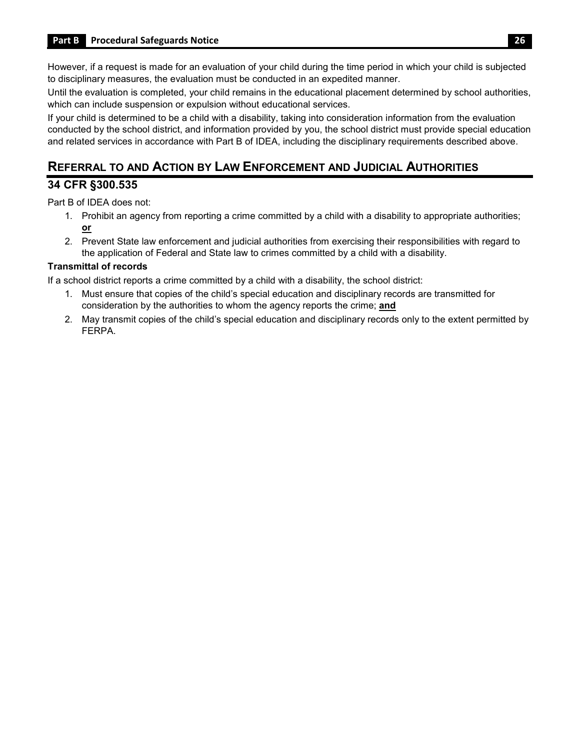However, if a request is made for an evaluation of your child during the time period in which your child is subjected to disciplinary measures, the evaluation must be conducted in an expedited manner.

 Until the evaluation is completed, your child remains in the educational placement determined by school authorities, which can include suspension or expulsion without educational services.

If your child is determined to be a child with a disability, taking into consideration information from the evaluation conducted by the school district, and information provided by you, the school district must provide special education and related services in accordance with Part B of IDEA, including the disciplinary requirements described above.

## <span id="page-28-0"></span> **REFERRAL TO AND ACTION BY LAW ENFORCEMENT AND JUDICIAL AUTHORITIES**

#### **34 CFR §300.535**

Part B of IDEA does not:

- 1. Prohibit an agency from reporting a crime committed by a child with a disability to appropriate authorities; **or**
- 2. Prevent State law enforcement and judicial authorities from exercising their responsibilities with regard to the application of Federal and State law to crimes committed by a child with a disability.

#### **Transmittal of records**

If a school district reports a crime committed by a child with a disability, the school district:

- 1. Must ensure that copies of the child's special education and disciplinary records are transmitted for consideration by the authorities to whom the agency reports the crime; **and**
- 2. May transmit copies of the child's special education and disciplinary records only to the extent permitted by FERPA.